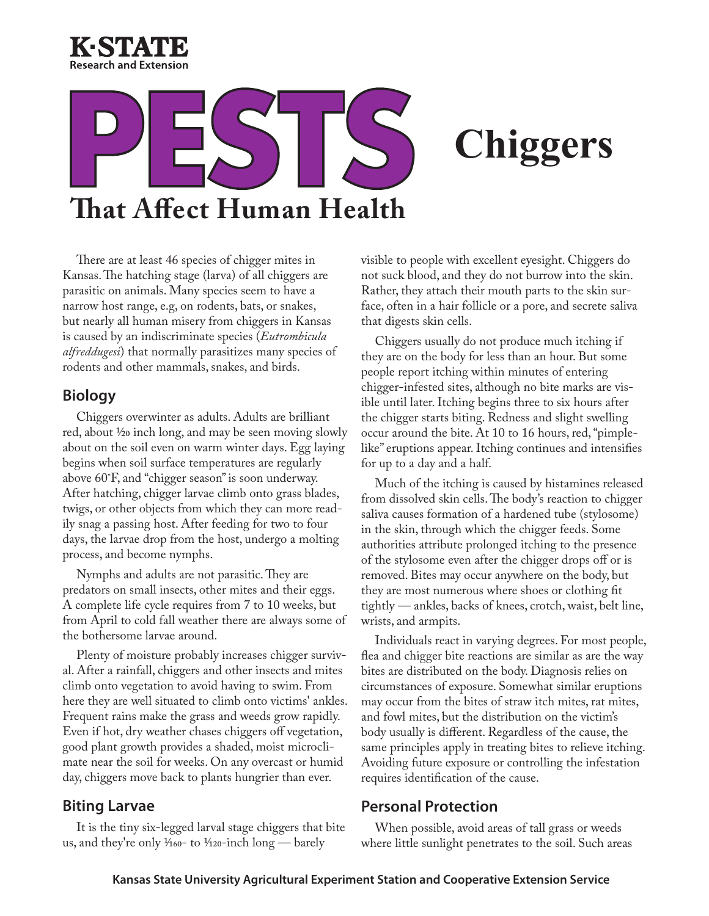

# **That Affect Human Health**

## **Chiggers**

There are at least 46 species of chigger mites in Kansas. The hatching stage (larva) of all chiggers are parasitic on animals. Many species seem to have a narrow host range, e.g, on rodents, bats, or snakes, but nearly all human misery from chiggers in Kansas is caused by an indiscriminate species (*Eutrombicula alfreddugesi*) that normally parasitizes many species of rodents and other mammals, snakes, and birds.

### **Biology**

Chiggers overwinter as adults. Adults are brilliant red, about 1/20 inch long, and may be seen moving slowly about on the soil even on warm winter days. Egg laying begins when soil surface temperatures are regularly above 60˚F, and "chigger season" is soon underway. After hatching, chigger larvae climb onto grass blades, twigs, or other objects from which they can more readily snag a passing host. After feeding for two to four days, the larvae drop from the host, undergo a molting process, and become nymphs.

Nymphs and adults are not parasitic. They are predators on small insects, other mites and their eggs. A complete life cycle requires from 7 to 10 weeks, but from April to cold fall weather there are always some of the bothersome larvae around.

Plenty of moisture probably increases chigger survival. After a rainfall, chiggers and other insects and mites climb onto vegetation to avoid having to swim. From here they are well situated to climb onto victims' ankles. Frequent rains make the grass and weeds grow rapidly. Even if hot, dry weather chases chiggers off vegetation, good plant growth provides a shaded, moist microclimate near the soil for weeks. On any overcast or humid day, chiggers move back to plants hungrier than ever.

### **Biting Larvae**

It is the tiny six-legged larval stage chiggers that bite us, and they're only  $\frac{1}{160}$ - to  $\frac{1}{120}$ -inch long — barely

visible to people with excellent eyesight. Chiggers do not suck blood, and they do not burrow into the skin. Rather, they attach their mouth parts to the skin surface, often in a hair follicle or a pore, and secrete saliva that digests skin cells.

Chiggers usually do not produce much itching if they are on the body for less than an hour. But some people report itching within minutes of entering chigger-infested sites, although no bite marks are visible until later. Itching begins three to six hours after the chigger starts biting. Redness and slight swelling occur around the bite. At 10 to 16 hours, red, "pimplelike" eruptions appear. Itching continues and intensifies for up to a day and a half.

Much of the itching is caused by histamines released from dissolved skin cells. The body's reaction to chigger saliva causes formation of a hardened tube (stylosome) in the skin, through which the chigger feeds. Some authorities attribute prolonged itching to the presence of the stylosome even after the chigger drops off or is removed. Bites may occur anywhere on the body, but they are most numerous where shoes or clothing fit tightly — ankles, backs of knees, crotch, waist, belt line, wrists, and armpits.

Individuals react in varying degrees. For most people, flea and chigger bite reactions are similar as are the way bites are distributed on the body. Diagnosis relies on circumstances of exposure. Somewhat similar eruptions may occur from the bites of straw itch mites, rat mites, and fowl mites, but the distribution on the victim's body usually is different. Regardless of the cause, the same principles apply in treating bites to relieve itching. Avoiding future exposure or controlling the infestation requires identification of the cause.

### **Personal Protection**

When possible, avoid areas of tall grass or weeds where little sunlight penetrates to the soil. Such areas